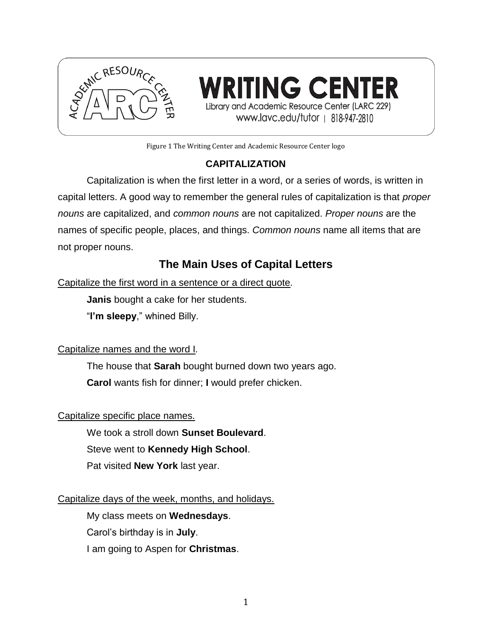

**WRITING CENTER** Library and Academic Resource Center (LARC 229) www.lavc.edu/tutor | 818-947-2810

Figure 1 The Writing Center and Academic Resource Center logo

## **CAPITALIZATION**

Capitalization is when the first letter in a word, or a series of words, is written in capital letters. A good way to remember the general rules of capitalization is that *proper nouns* are capitalized, and *common nouns* are not capitalized. *Proper nouns* are the names of specific people, places, and things. *Common nouns* name all items that are not proper nouns.

# **The Main Uses of Capital Letters**

Capitalize the first word in a sentence or a direct quote*.*

**Janis** bought a cake for her students.

"**I'm sleepy**," whined Billy.

Capitalize names and the word I*.*

The house that **Sarah** bought burned down two years ago. **Carol** wants fish for dinner; **I** would prefer chicken.

## Capitalize specific place names.

We took a stroll down **Sunset Boulevard**.

Steve went to **Kennedy High School**.

Pat visited **New York** last year.

## Capitalize days of the week, months, and holidays.

My class meets on **Wednesdays**. Carol's birthday is in **July**. I am going to Aspen for **Christmas**.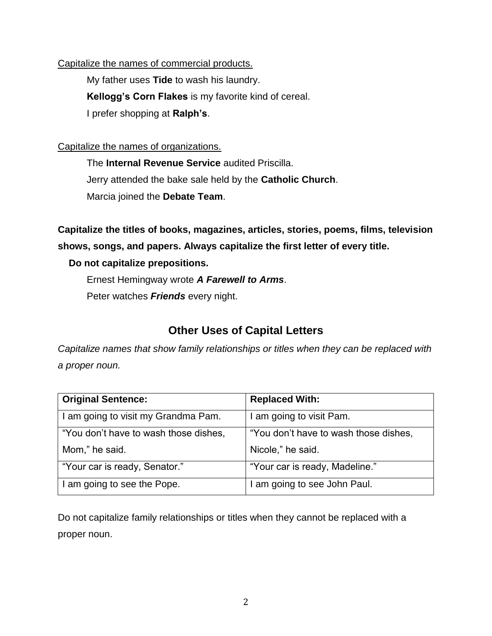#### Capitalize the names of commercial products.

My father uses **Tide** to wash his laundry. **Kellogg's Corn Flakes** is my favorite kind of cereal. I prefer shopping at **Ralph's**.

#### Capitalize the names of organizations.

The **Internal Revenue Service** audited Priscilla. Jerry attended the bake sale held by the **Catholic Church**. Marcia joined the **Debate Team**.

**Capitalize the titles of books, magazines, articles, stories, poems, films, television shows, songs, and papers. Always capitalize the first letter of every title.**

#### **Do not capitalize prepositions.**

Ernest Hemingway wrote *A Farewell to Arms*. Peter watches *Friends* every night.

# **Other Uses of Capital Letters**

*Capitalize names that show family relationships or titles when they can be replaced with a proper noun.*

| <b>Original Sentence:</b>             | <b>Replaced With:</b>                 |
|---------------------------------------|---------------------------------------|
| I am going to visit my Grandma Pam.   | I am going to visit Pam.              |
| "You don't have to wash those dishes, | "You don't have to wash those dishes, |
| Mom," he said.                        | Nicole," he said.                     |
| "Your car is ready, Senator."         | "Your car is ready, Madeline."        |
| I am going to see the Pope.           | I am going to see John Paul.          |

Do not capitalize family relationships or titles when they cannot be replaced with a proper noun.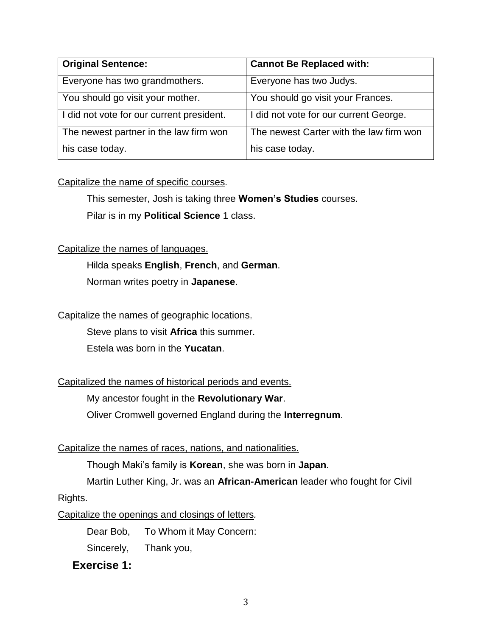| <b>Original Sentence:</b>                 | <b>Cannot Be Replaced with:</b>         |
|-------------------------------------------|-----------------------------------------|
| Everyone has two grandmothers.            | Everyone has two Judys.                 |
| You should go visit your mother.          | You should go visit your Frances.       |
| I did not vote for our current president. | I did not vote for our current George.  |
| The newest partner in the law firm won    | The newest Carter with the law firm won |
| his case today.                           | his case today.                         |

## Capitalize the name of specific courses*.*

This semester, Josh is taking three **Women's Studies** courses. Pilar is in my **Political Science** 1 class.

#### Capitalize the names of languages.

Hilda speaks **English**, **French**, and **German**. Norman writes poetry in **Japanese**.

## Capitalize the names of geographic locations.

Steve plans to visit **Africa** this summer.

Estela was born in the **Yucatan**.

## Capitalized the names of historical periods and events.

My ancestor fought in the **Revolutionary War**.

Oliver Cromwell governed England during the **Interregnum**.

#### Capitalize the names of races, nations, and nationalities.

Though Maki's family is **Korean**, she was born in **Japan**.

Martin Luther King, Jr. was an **African-American** leader who fought for Civil

#### Rights.

Capitalize the openings and closings of letters*.*

Dear Bob, To Whom it May Concern:

Sincerely, Thank you,

## **Exercise 1:**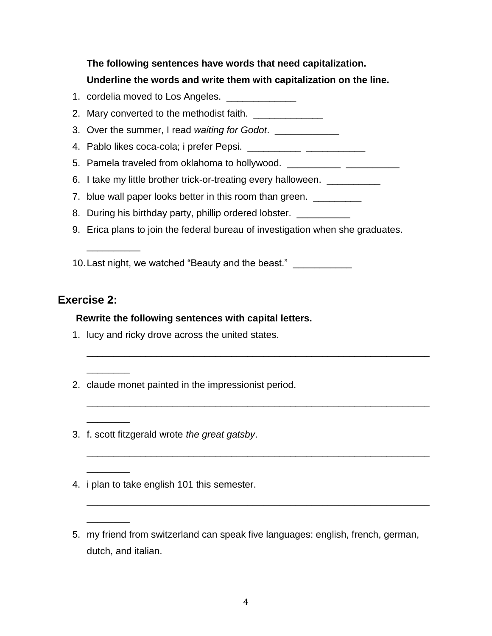# **The following sentences have words that need capitalization. Underline the words and write them with capitalization on the line.**

- 1. cordelia moved to Los Angeles. \_\_\_\_\_\_\_\_\_\_\_\_\_
- 2. Mary converted to the methodist faith.
- 3. Over the summer, I read *waiting for Godot*. \_\_\_\_\_\_\_\_\_\_\_\_
- 4. Pablo likes coca-cola; i prefer Pepsi. \_\_\_\_\_\_\_\_\_\_ \_\_\_\_\_\_\_\_\_\_\_
- 5. Pamela traveled from oklahoma to hollywood. \_\_\_\_\_\_\_\_\_\_\_\_\_\_\_\_\_\_\_\_\_\_\_\_\_\_\_\_\_\_\_\_\_
- 6. I take my little brother trick-or-treating every halloween. \_\_\_\_\_\_\_\_\_
- 7. blue wall paper looks better in this room than green. \_\_\_\_\_\_\_\_\_
- 8. During his birthday party, phillip ordered lobster.
- 9. Erica plans to join the federal bureau of investigation when she graduates.

\_\_\_\_\_\_\_\_\_\_\_\_\_\_\_\_\_\_\_\_\_\_\_\_\_\_\_\_\_\_\_\_\_\_\_\_\_\_\_\_\_\_\_\_\_\_\_\_\_\_\_\_\_\_\_\_\_\_\_\_\_\_\_\_

\_\_\_\_\_\_\_\_\_\_\_\_\_\_\_\_\_\_\_\_\_\_\_\_\_\_\_\_\_\_\_\_\_\_\_\_\_\_\_\_\_\_\_\_\_\_\_\_\_\_\_\_\_\_\_\_\_\_\_\_\_\_\_\_

\_\_\_\_\_\_\_\_\_\_\_\_\_\_\_\_\_\_\_\_\_\_\_\_\_\_\_\_\_\_\_\_\_\_\_\_\_\_\_\_\_\_\_\_\_\_\_\_\_\_\_\_\_\_\_\_\_\_\_\_\_\_\_\_

\_\_\_\_\_\_\_\_\_\_\_\_\_\_\_\_\_\_\_\_\_\_\_\_\_\_\_\_\_\_\_\_\_\_\_\_\_\_\_\_\_\_\_\_\_\_\_\_\_\_\_\_\_\_\_\_\_\_\_\_\_\_\_\_

10. Last night, we watched "Beauty and the beast."

# **Exercise 2:**

\_\_\_\_\_\_\_\_\_\_

 $\overline{\phantom{a}}$ 

 $\overline{\phantom{a}}$ 

\_\_\_\_\_\_\_\_

 $\overline{\phantom{a}}$ 

## **Rewrite the following sentences with capital letters.**

- 1. lucy and ricky drove across the united states.
- 2. claude monet painted in the impressionist period.
- 3. f. scott fitzgerald wrote *the great gatsby*.
- 4. i plan to take english 101 this semester.
- 5. my friend from switzerland can speak five languages: english, french, german, dutch, and italian.